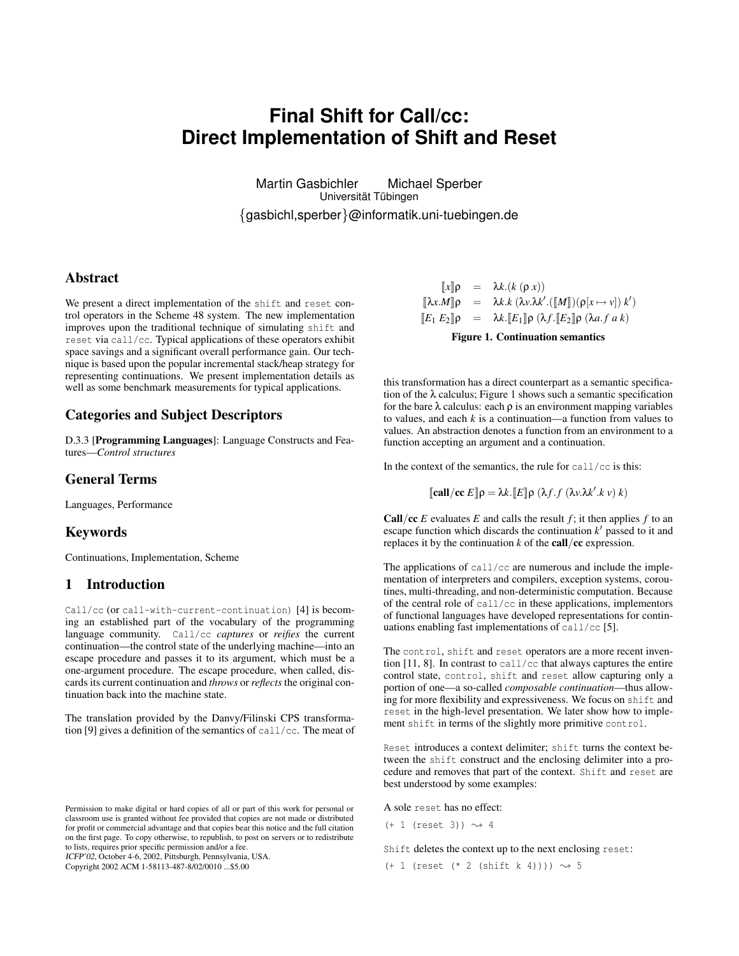# **Final Shift for Call/cc: Direct Implementation of Shift and Reset**

Martin Gasbichler Michael Sperber Universität Tübingen {gasbichl,sperber}@informatik.uni-tuebingen.de

### **Abstract**

We present a direct implementation of the shift and reset control operators in the Scheme 48 system. The new implementation improves upon the traditional technique of simulating shift and reset via call/cc. Typical applications of these operators exhibit space savings and a significant overall performance gain. Our technique is based upon the popular incremental stack/heap strategy for representing continuations. We present implementation details as well as some benchmark measurements for typical applications.

### **Categories and Subject Descriptors**

D.3.3 [**Programming Languages**]: Language Constructs and Features—*Control structures*

### **General Terms**

Languages, Performance

### **Keywords**

Continuations, Implementation, Scheme

### **1 Introduction**

Call/cc (or call-with-current-continuation) [4] is becoming an established part of the vocabulary of the programming language community. Call/cc *captures* or *reifies* the current continuation—the control state of the underlying machine—into an escape procedure and passes it to its argument, which must be a one-argument procedure. The escape procedure, when called, discards its current continuation and *throws* or *reflects* the original continuation back into the machine state.

The translation provided by the Danvy/Filinski CPS transformation [9] gives a definition of the semantics of call/cc. The meat of

ICFP'02, October 4-6, 2002, Pittsburgh, Pennsylvania, USA.

Copyright 2002 ACM 1-58113-487-8/02/0010 ...\$5.00

$$
\begin{array}{rcl}\n\llbracket x \rrbracket \rho & = & \lambda k. (k (p x)) \\
\llbracket \lambda x. M \rrbracket \rho & = & \lambda k. k (\lambda v. \lambda k'. (\llbracket M \rrbracket) (p[x \mapsto v]) k') \\
\llbracket E_1 E_2 \rrbracket \rho & = & \lambda k. \llbracket E_1 \rrbracket \rho (\lambda f. \llbracket E_2 \rrbracket \rho (\lambda a. f a k)\n\end{array}
$$

**Figure 1. Continuation semantics**

this transformation has a direct counterpart as a semantic specification of the  $\lambda$  calculus; Figure 1 shows such a semantic specification for the bare  $\lambda$  calculus: each  $\rho$  is an environment mapping variables to values, and each *k* is a continuation—a function from values to values. An abstraction denotes a function from an environment to a function accepting an argument and a continuation.

In the context of the semantics, the rule for  $\text{call}/\text{cc}$  is this:

$$
\llbracket \text{call}/\text{cc } E \rrbracket \rho = \lambda k. \llbracket E \rrbracket \rho \ (\lambda f. f \ (\lambda v. \lambda k'. k \ v) \ k)
$$

**Call**/**cc**  $E$  evaluates  $E$  and calls the result  $f$ ; it then applies  $f$  to an escape function which discards the continuation  $k'$  passed to it and replaces it by the continuation *k* of the **call**/**cc** expression.

The applications of call/cc are numerous and include the implementation of interpreters and compilers, exception systems, coroutines, multi-threading, and non-deterministic computation. Because of the central role of call/cc in these applications, implementors of functional languages have developed representations for continuations enabling fast implementations of call/cc [5].

The control, shift and reset operators are a more recent invention [11, 8]. In contrast to call/cc that always captures the entire control state, control, shift and reset allow capturing only a portion of one—a so-called *composable continuation*—thus allowing for more flexibility and expressiveness. We focus on shift and reset in the high-level presentation. We later show how to implement shift in terms of the slightly more primitive control.

Reset introduces a context delimiter; shift turns the context between the shift construct and the enclosing delimiter into a procedure and removes that part of the context. Shift and reset are best understood by some examples:

A sole reset has no effect:

 $(+ 1$  (reset 3))  $\rightsquigarrow$  4

Shift deletes the context up to the next enclosing reset:

 $(+ 1$  (reset  $(* 2$  (shift k 4))))  $\rightsquigarrow 5$ 

Permission to make digital or hard copies of all or part of this work for personal or classroom use is granted without fee provided that copies are not made or distributed for profit or commercial advantage and that copies bear this notice and the full citation on the first page. To copy otherwise, to republish, to post on servers or to redistribute to lists, requires prior specific permission and/or a fee.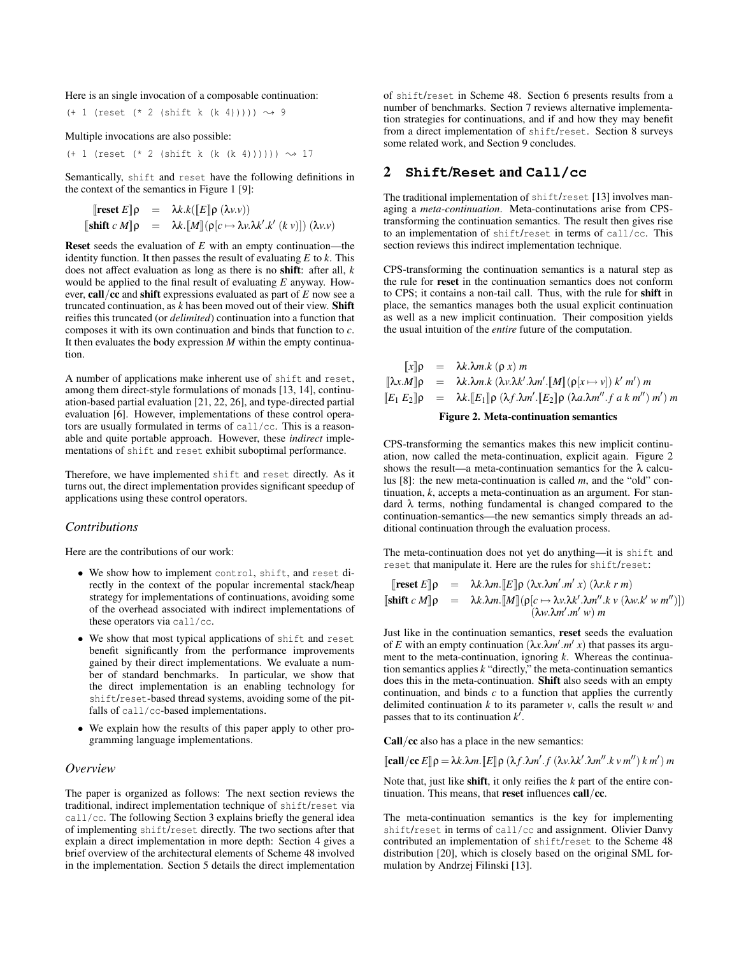Here is an single invocation of a composable continuation:

 $(+ 1$  (reset  $(* 2$  (shift k  $(k 4)))))$ )  $\rightsquigarrow 9$ 

Multiple invocations are also possible:

 $(+ 1$  (reset (\* 2 (shift k (k (k 4))))))  $\rightsquigarrow$  17

Semantically, shift and reset have the following definitions in the context of the semantics in Figure 1 [9]:

$$
\begin{array}{rcl}\n\text{[reset } E \Vert \rho & = & \lambda k.k(\llbracket E \rrbracket \rho \ (\lambda v.v)) \\
\text{[shift } c \ M \Vert \rho & = & \lambda k.\llbracket M \rrbracket (\rho[c \mapsto \lambda v.\lambda k'.k' \ (k \ v)]) \ (\lambda v.v)\n\end{array}
$$

**Reset** seeds the evaluation of *E* with an empty continuation—the identity function. It then passes the result of evaluating  $E$  to  $k$ . This does not affect evaluation as long as there is no **shift**: after all, *k* would be applied to the final result of evaluating *E* anyway. However, **call**/**cc** and **shift** expressions evaluated as part of *E* now see a truncated continuation, as *k* has been moved out of their view. **Shift** reifies this truncated (or *delimited*) continuation into a function that composes it with its own continuation and binds that function to *c*. It then evaluates the body expression *M* within the empty continuation.

A number of applications make inherent use of shift and reset, among them direct-style formulations of monads [13, 14], continuation-based partial evaluation [21, 22, 26], and type-directed partial evaluation [6]. However, implementations of these control operators are usually formulated in terms of call/cc. This is a reasonable and quite portable approach. However, these *indirect* implementations of shift and reset exhibit suboptimal performance.

Therefore, we have implemented shift and reset directly. As it turns out, the direct implementation provides significant speedup of applications using these control operators.

#### *Contributions*

Here are the contributions of our work:

- We show how to implement control, shift, and reset directly in the context of the popular incremental stack/heap strategy for implementations of continuations, avoiding some of the overhead associated with indirect implementations of these operators via call/cc.
- We show that most typical applications of shift and reset benefit significantly from the performance improvements gained by their direct implementations. We evaluate a number of standard benchmarks. In particular, we show that the direct implementation is an enabling technology for shift/reset-based thread systems, avoiding some of the pitfalls of call/cc-based implementations.
- We explain how the results of this paper apply to other programming language implementations.

#### *Overview*

The paper is organized as follows: The next section reviews the traditional, indirect implementation technique of shift/reset via call/cc. The following Section 3 explains briefly the general idea of implementing shift/reset directly. The two sections after that explain a direct implementation in more depth: Section 4 gives a brief overview of the architectural elements of Scheme 48 involved in the implementation. Section 5 details the direct implementation of shift/reset in Scheme 48. Section 6 presents results from a number of benchmarks. Section 7 reviews alternative implementation strategies for continuations, and if and how they may benefit from a direct implementation of shift/reset. Section 8 surveys some related work, and Section 9 concludes.

## **2 Shift/Reset and Call/cc**

The traditional implementation of shift/reset [13] involves managing a *meta-continuation*. Meta-continutations arise from CPStransforming the continuation semantics. The result then gives rise to an implementation of shift/reset in terms of call/cc. This section reviews this indirect implementation technique.

CPS-transforming the continuation semantics is a natural step as the rule for **reset** in the continuation semantics does not conform to CPS; it contains a non-tail call. Thus, with the rule for **shift** in place, the semantics manages both the usual explicit continuation as well as a new implicit continuation. Their composition yields the usual intuition of the *entire* future of the computation.

$$
\begin{array}{rcl}\n\llbracket x \rrbracket \rho & = & \lambda k. \lambda m. k \ (\rho \ x) \ m \\
\llbracket \lambda x. M \rrbracket \rho & = & \lambda k. \lambda m. k \ (\lambda v. \lambda k'. \lambda m'. \llbracket M \rrbracket (\rho[x \mapsto v]) \ k' \ m') \ m \\
\llbracket E_1 \ E_2 \rrbracket \rho & = & \lambda k. \llbracket E_1 \rrbracket \rho \ (\lambda f. \lambda m'. \llbracket E_2 \rrbracket \rho \ (\lambda a. \lambda m''. f \ a \ k \ m'') \ m'\n\end{array}
$$
\nFigure 2. Meta-continuation semantics

CPS-transforming the semantics makes this new implicit continuation, now called the meta-continuation, explicit again. Figure 2 shows the result—a meta-continuation semantics for the  $\lambda$  calculus [8]: the new meta-continuation is called *m*, and the "old" continuation, *k*, accepts a meta-continuation as an argument. For standard λ terms, nothing fundamental is changed compared to the continuation-semantics—the new semantics simply threads an additional continuation through the evaluation process.

The meta-continuation does not yet do anything—it is shift and reset that manipulate it. Here are the rules for shift/reset:

$$
\begin{array}{rcl}\n[\text{reset } E]\rho & = & \lambda k.\lambda m.\llbracket E \rrbracket \rho \ (\lambda x.\lambda m'.m' \ x) \ (\lambda r.k \ r \ m) \\
[\text{shift } c \ M]\rho & = & \lambda k.\lambda m.\llbracket M \rrbracket (\rho[c \mapsto \lambda v.\lambda k'.\lambda m''.k' \ \lambda w.k' \ w \ m'')]) \\
(\lambda w.\lambda m'.m' \ w) \ m\n\end{array}
$$

Just like in the continuation semantics, **reset** seeds the evaluation of *E* with an empty continuation  $(\lambda x \cdot \lambda m' \cdot m' x)$  that passes its argument to the meta-continuation, ignoring *k*. Whereas the continuation semantics applies *k* "directly," the meta-continuation semantics does this in the meta-continuation. **Shift** also seeds with an empty continuation, and binds *c* to a function that applies the currently delimited continuation  $k$  to its parameter  $v$ , calls the result  $w$  and passes that to its continuation  $k^{\overline{\ell}}$ .

**Call**/**cc** also has a place in the new semantics:

 $[\text{call/cc } E] \rho = \lambda k \cdot \lambda m$ . $[E] \rho (\lambda f \cdot \lambda m' \cdot f (\lambda v \cdot \lambda k' \cdot \lambda m'' \cdot k v m'') k m'$ 

Note that, just like **shift**, it only reifies the *k* part of the entire continuation. This means, that **reset** influences **call**/**cc**.

The meta-continuation semantics is the key for implementing shift/reset in terms of call/cc and assignment. Olivier Danvy contributed an implementation of shift/reset to the Scheme 48 distribution [20], which is closely based on the original SML formulation by Andrzej Filinski [13].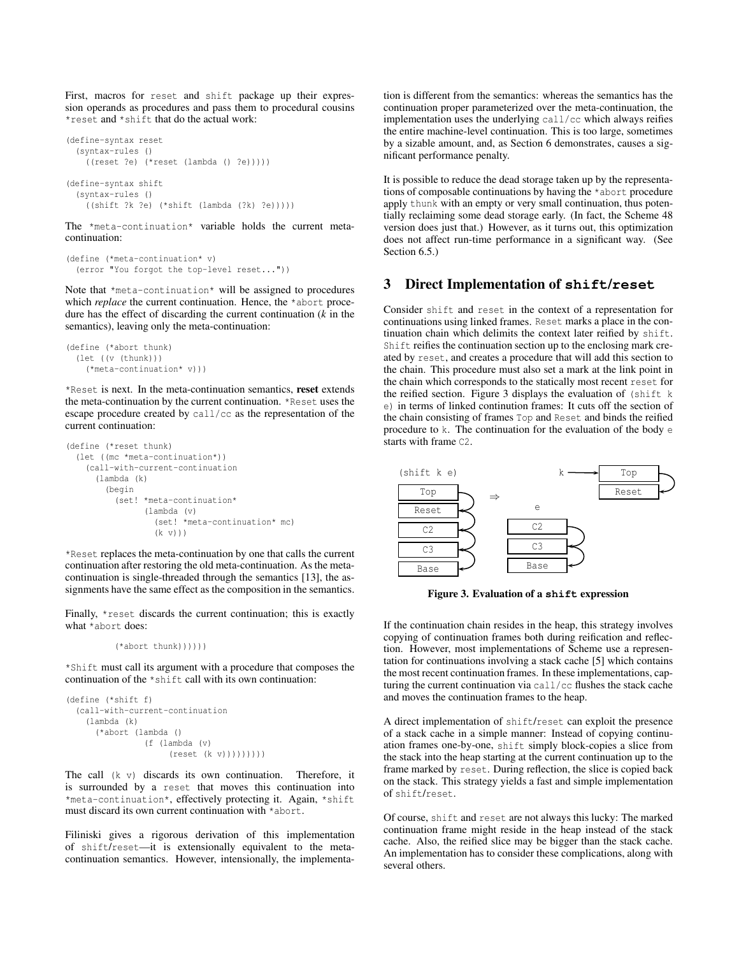First, macros for reset and shift package up their expression operands as procedures and pass them to procedural cousins \*reset and \*shift that do the actual work:

```
(define-syntax reset
 (syntax-rules ()
    ((reset ?e) (*reset (lambda () ?e)))))
(define-syntax shift
 (syntax-rules ()
    ((shift ?k ?e) (*shift (lambda (?k) ?e)))))
```
The \*meta-continuation\* variable holds the current metacontinuation:

```
(define (*meta-continuation* v)
 (error "You forgot the top-level reset..."))
```
Note that  $*$ meta-continuation $*$  will be assigned to procedures which *replace* the current continuation. Hence, the \*abort procedure has the effect of discarding the current continuation (*k* in the semantics), leaving only the meta-continuation:

```
(define (*abort thunk)
 (let ((v (thunk)))
    (*meta-continuation* v)))
```
\*Reset is next. In the meta-continuation semantics, **reset** extends the meta-continuation by the current continuation. \*Reset uses the escape procedure created by call/cc as the representation of the current continuation:

```
(define (*reset thunk)
 (let ((mc *meta-continuation*))
    (call-with-current-continuation
      (lambda (k)
        (begin
          (set! *meta-continuation*
                (lambda (v)
                   (set! *meta-continuation* mc)
                   (k \nabla))
```
\*Reset replaces the meta-continuation by one that calls the current continuation after restoring the old meta-continuation. As the metacontinuation is single-threaded through the semantics [13], the assignments have the same effect as the composition in the semantics.

Finally, \*reset discards the current continuation; this is exactly what \*abort does:

```
(*abort thunk))))))
```
\*Shift must call its argument with a procedure that composes the continuation of the \*shift call with its own continuation:

```
(define (*shift f)
 (call-with-current-continuation
    (lambda (k)
      (*abort (lambda ()
                (f (lambda (v)
                     (reset (k v)))))))))
```
The call (k v) discards its own continuation. Therefore, it is surrounded by a reset that moves this continuation into \*meta-continuation\*, effectively protecting it. Again, \*shift must discard its own current continuation with \*abort.

Filiniski gives a rigorous derivation of this implementation of shift/reset—it is extensionally equivalent to the metacontinuation semantics. However, intensionally, the implementa-

tion is different from the semantics: whereas the semantics has the continuation proper parameterized over the meta-continuation, the implementation uses the underlying call/cc which always reifies the entire machine-level continuation. This is too large, sometimes by a sizable amount, and, as Section 6 demonstrates, causes a significant performance penalty.

It is possible to reduce the dead storage taken up by the representations of composable continuations by having the \*abort procedure apply thunk with an empty or very small continuation, thus potentially reclaiming some dead storage early. (In fact, the Scheme 48 version does just that.) However, as it turns out, this optimization does not affect run-time performance in a significant way. (See Section  $6.5$ .)

#### **3 Direct Implementation of shift/reset**

Consider shift and reset in the context of a representation for continuations using linked frames. Reset marks a place in the continuation chain which delimits the context later reified by shift. Shift reifies the continuation section up to the enclosing mark created by reset, and creates a procedure that will add this section to the chain. This procedure must also set a mark at the link point in the chain which corresponds to the statically most recent reset for the reified section. Figure 3 displays the evaluation of  $(\text{shift } k)$ e) in terms of linked continution frames: It cuts off the section of the chain consisting of frames Top and Reset and binds the reified procedure to k. The continuation for the evaluation of the body e starts with frame C2.



**Figure 3. Evaluation of a shift expression**

If the continuation chain resides in the heap, this strategy involves copying of continuation frames both during reification and reflection. However, most implementations of Scheme use a representation for continuations involving a stack cache [5] which contains the most recent continuation frames. In these implementations, capturing the current continuation via call/cc flushes the stack cache and moves the continuation frames to the heap.

A direct implementation of shift/reset can exploit the presence of a stack cache in a simple manner: Instead of copying continuation frames one-by-one, shift simply block-copies a slice from the stack into the heap starting at the current continuation up to the frame marked by reset. During reflection, the slice is copied back on the stack. This strategy yields a fast and simple implementation of shift/reset.

Of course, shift and reset are not always this lucky: The marked continuation frame might reside in the heap instead of the stack cache. Also, the reified slice may be bigger than the stack cache. An implementation has to consider these complications, along with several others.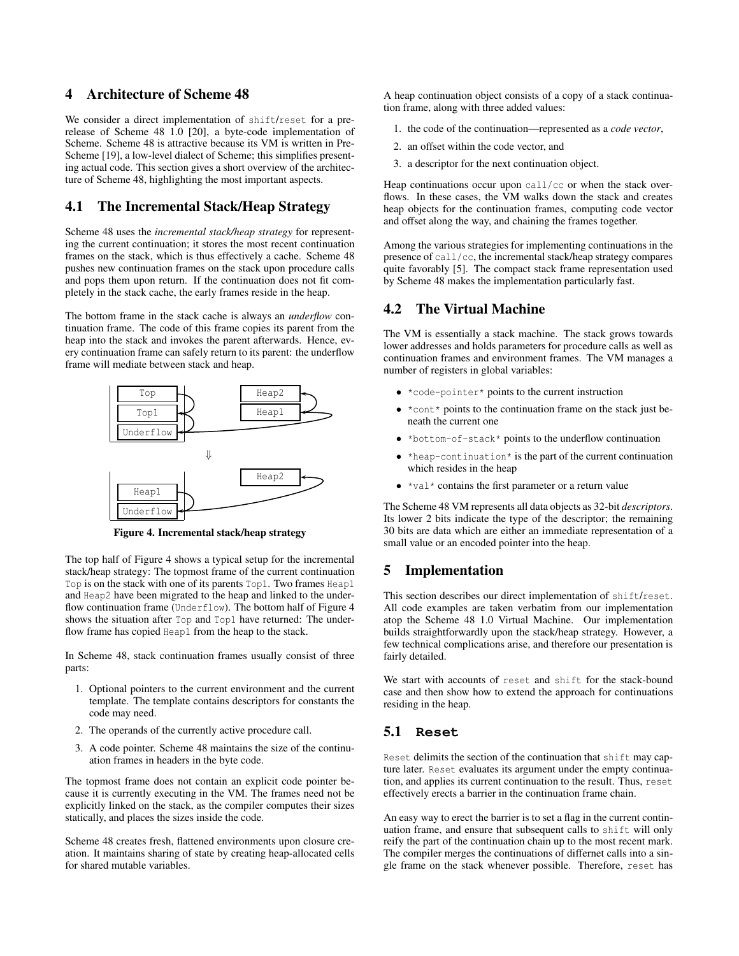# **4 Architecture of Scheme 48**

We consider a direct implementation of shift/reset for a prerelease of Scheme 48 1.0 [20], a byte-code implementation of Scheme. Scheme 48 is attractive because its VM is written in Pre-Scheme [19], a low-level dialect of Scheme; this simplifies presenting actual code. This section gives a short overview of the architecture of Scheme 48, highlighting the most important aspects.

### **4.1 The Incremental Stack/Heap Strategy**

Scheme 48 uses the *incremental stack/heap strategy* for representing the current continuation; it stores the most recent continuation frames on the stack, which is thus effectively a cache. Scheme 48 pushes new continuation frames on the stack upon procedure calls and pops them upon return. If the continuation does not fit completely in the stack cache, the early frames reside in the heap.

The bottom frame in the stack cache is always an *underflow* continuation frame. The code of this frame copies its parent from the heap into the stack and invokes the parent afterwards. Hence, every continuation frame can safely return to its parent: the underflow frame will mediate between stack and heap.



**Figure 4. Incremental stack/heap strategy**

The top half of Figure 4 shows a typical setup for the incremental stack/heap strategy: The topmost frame of the current continuation Top is on the stack with one of its parents Top1. Two frames Heap1 and Heap2 have been migrated to the heap and linked to the underflow continuation frame (Underflow). The bottom half of Figure 4 shows the situation after Top and Top1 have returned: The underflow frame has copied Heap1 from the heap to the stack.

In Scheme 48, stack continuation frames usually consist of three parts:

- 1. Optional pointers to the current environment and the current template. The template contains descriptors for constants the code may need.
- 2. The operands of the currently active procedure call.
- 3. A code pointer. Scheme 48 maintains the size of the continuation frames in headers in the byte code.

The topmost frame does not contain an explicit code pointer because it is currently executing in the VM. The frames need not be explicitly linked on the stack, as the compiler computes their sizes statically, and places the sizes inside the code.

Scheme 48 creates fresh, flattened environments upon closure creation. It maintains sharing of state by creating heap-allocated cells for shared mutable variables.

A heap continuation object consists of a copy of a stack continuation frame, along with three added values:

- 1. the code of the continuation—represented as a *code vector*,
- 2. an offset within the code vector, and
- 3. a descriptor for the next continuation object.

Heap continuations occur upon call/cc or when the stack overflows. In these cases, the VM walks down the stack and creates heap objects for the continuation frames, computing code vector and offset along the way, and chaining the frames together.

Among the various strategies for implementing continuations in the presence of call/cc, the incremental stack/heap strategy compares quite favorably [5]. The compact stack frame representation used by Scheme 48 makes the implementation particularly fast.

### **4.2 The Virtual Machine**

The VM is essentially a stack machine. The stack grows towards lower addresses and holds parameters for procedure calls as well as continuation frames and environment frames. The VM manages a number of registers in global variables:

- \*code-pointer\* points to the current instruction
- $\bullet$  \*cont\* points to the continuation frame on the stack just beneath the current one
- \*bottom-of-stack\* points to the underflow continuation
- \*heap-continuation\* is the part of the current continuation which resides in the heap
- $\bullet$  \*val\* contains the first parameter or a return value

The Scheme 48 VM represents all data objects as 32-bit *descriptors*. Its lower 2 bits indicate the type of the descriptor; the remaining 30 bits are data which are either an immediate representation of a small value or an encoded pointer into the heap.

# **5 Implementation**

This section describes our direct implementation of shift/reset. All code examples are taken verbatim from our implementation atop the Scheme 48 1.0 Virtual Machine. Our implementation builds straightforwardly upon the stack/heap strategy. However, a few technical complications arise, and therefore our presentation is fairly detailed.

We start with accounts of reset and shift for the stack-bound case and then show how to extend the approach for continuations residing in the heap.

#### **5.1 Reset**

Reset delimits the section of the continuation that shift may capture later. Reset evaluates its argument under the empty continuation, and applies its current continuation to the result. Thus, reset effectively erects a barrier in the continuation frame chain.

An easy way to erect the barrier is to set a flag in the current continuation frame, and ensure that subsequent calls to shift will only reify the part of the continuation chain up to the most recent mark. The compiler merges the continuations of differnet calls into a single frame on the stack whenever possible. Therefore, reset has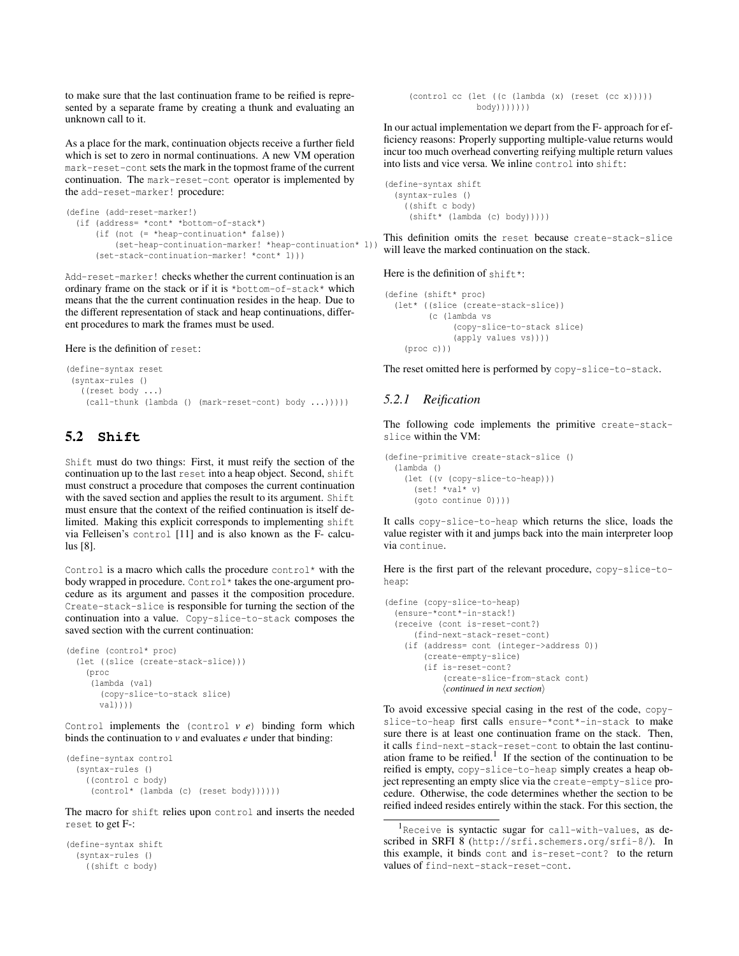to make sure that the last continuation frame to be reified is represented by a separate frame by creating a thunk and evaluating an unknown call to it.

As a place for the mark, continuation objects receive a further field which is set to zero in normal continuations. A new VM operation mark-reset-cont sets the mark in the topmost frame of the current continuation. The mark-reset-cont operator is implemented by the add-reset-marker! procedure:

```
(define (add-reset-marker!)
 (if (address= *cont* *bottom-of-stack*)
      (if (not (= *heap-continuation* false))
          (set-heap-continuation-marker! *heap-continuation* 1))
      (set-stack-continuation-marker! *cont* 1)))
```
Add-reset-marker! checks whether the current continuation is an ordinary frame on the stack or if it is \*bottom-of-stack\* which means that the the current continuation resides in the heap. Due to the different representation of stack and heap continuations, different procedures to mark the frames must be used.

Here is the definition of reset:

```
(define-syntax reset
(syntax-rules ()
   ((reset body ...)
    (call-thunk (lambda () (mark-reset-cont) body ...)))))
```
# **5.2 Shift**

Shift must do two things: First, it must reify the section of the continuation up to the last reset into a heap object. Second, shift must construct a procedure that composes the current continuation with the saved section and applies the result to its argument. Shift must ensure that the context of the reified continuation is itself delimited. Making this explicit corresponds to implementing shift via Felleisen's control [11] and is also known as the F- calculus [8].

Control is a macro which calls the procedure control\* with the body wrapped in procedure. Control\* takes the one-argument procedure as its argument and passes it the composition procedure. Create-stack-slice is responsible for turning the section of the continuation into a value. Copy-slice-to-stack composes the saved section with the current continuation:

```
(define (control* proc)
 (let ((slice (create-stack-slice)))
    (proc
     (lambda (val)
       (copy-slice-to-stack slice)
      val))))
```
Control implements the (control *v e*) binding form which binds the continuation to *v* and evaluates *e* under that binding:

```
(define-syntax control
 (syntax-rules ()
    ((control c body)
     (control* (lambda (c) (reset body))))))
```
The macro for shift relies upon control and inserts the needed reset to get F-:

```
(define-syntax shift
 (syntax-rules ()
    ((shift c body)
```
(control cc (let ((c (lambda (x) (reset (cc x))))) body)))))))

In our actual implementation we depart from the F- approach for efficiency reasons: Properly supporting multiple-value returns would incur too much overhead converting reifying multiple return values into lists and vice versa. We inline control into shift:

```
(define-syntax shift
 (syntax-rules ()
    ((shift c body)
     (shift* (lambda (c) body)))))
```
This definition omits the reset because create-stack-slice will leave the marked continuation on the stack.

Here is the definition of shift\*:

```
(define (shift* proc)
 (let* ((slice (create-stack-slice))
        (c (lambda vs
              (copy-slice-to-stack slice)
              (apply values vs))))
    (proc c)))
```
The reset omitted here is performed by copy-slice-to-stack.

#### *5.2.1 Reification*

The following code implements the primitive create-stackslice within the VM:

```
(define-primitive create-stack-slice ()
 (lambda ()
    (let ((v (copy-slice-to-heap)))
     (set! *val* v)
     (goto continue 0))))
```
It calls copy-slice-to-heap which returns the slice, loads the value register with it and jumps back into the main interpreter loop via continue.

Here is the first part of the relevant procedure, copy-slice-toheap:

```
(define (copy-slice-to-heap)
  (ensure-*cont*-in-stack!)
  (receive (cont is-reset-cont?)
      (find-next-stack-reset-cont)
    (if (address= cont (integer->address 0))
        (create-empty-slice)
        (if is-reset-cont?
             (create-slice-from-stack cont)
             \langle continued in next section\rangle
```
To avoid excessive special casing in the rest of the code, copyslice-to-heap first calls ensure-\*cont\*-in-stack to make sure there is at least one continuation frame on the stack. Then, it calls find-next-stack-reset-cont to obtain the last continuation frame to be reified.<sup>1</sup> If the section of the continuation to be reified is empty, copy-slice-to-heap simply creates a heap object representing an empty slice via the create-empty-slice procedure. Otherwise, the code determines whether the section to be reified indeed resides entirely within the stack. For this section, the

<sup>&</sup>lt;sup>1</sup>Receive is syntactic sugar for call-with-values, as described in SRFI 8 (http://srfi.schemers.org/srfi-8/). In this example, it binds cont and is-reset-cont? to the return values of find-next-stack-reset-cont.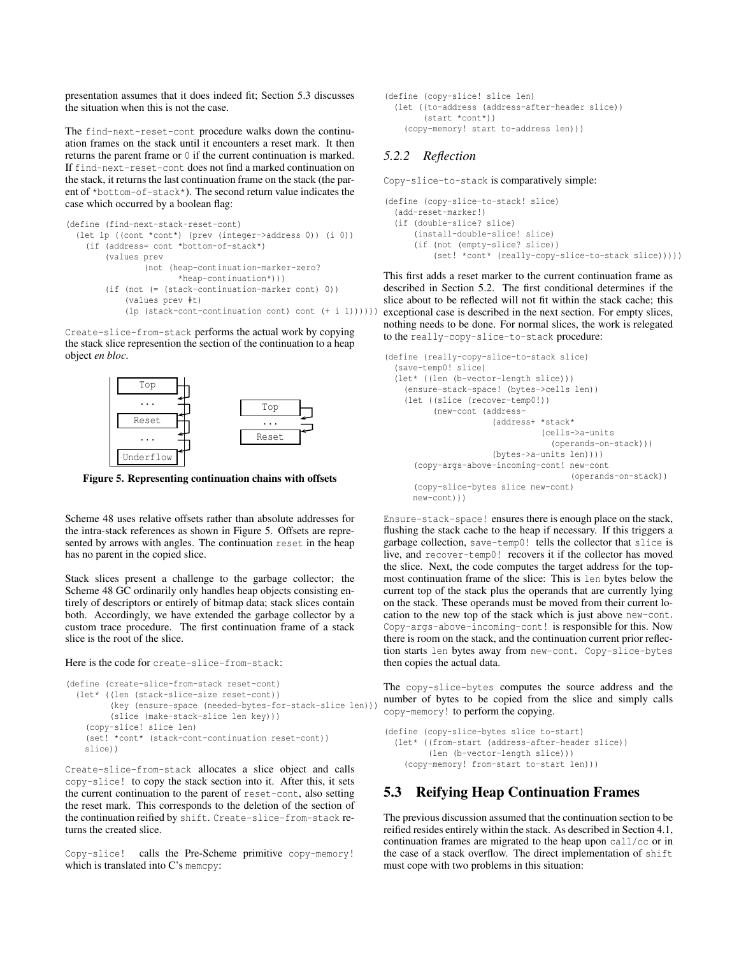presentation assumes that it does indeed fit; Section 5.3 discusses the situation when this is not the case.

The find-next-reset-cont procedure walks down the continuation frames on the stack until it encounters a reset mark. It then returns the parent frame or 0 if the current continuation is marked. If find-next-reset-cont does not find a marked continuation on the stack, it returns the last continuation frame on the stack (the parent of \*bottom-of-stack\*). The second return value indicates the case which occurred by a boolean flag:

```
(define (find-next-stack-reset-cont)
  (let lp ((cont *cont*) (prev (integer->address 0)) (i 0))
    (if (address= cont *bottom-of-stack*)
        (values prev
                (not (heap-continuation-marker-zero?
                       *heap-continuation*)))
        (if (not (= (stack-continuation-marker cont) 0))
            (values prev #t)
            (lp (stack-cont-continuation cont) cont (+ i 1))))))
```
Create-slice-from-stack performs the actual work by copying the stack slice represention the section of the continuation to a heap object *en bloc*.



**Figure 5. Representing continuation chains with offsets**

Scheme 48 uses relative offsets rather than absolute addresses for the intra-stack references as shown in Figure 5. Offsets are represented by arrows with angles. The continuation reset in the heap has no parent in the copied slice.

Stack slices present a challenge to the garbage collector; the Scheme 48 GC ordinarily only handles heap objects consisting entirely of descriptors or entirely of bitmap data; stack slices contain both. Accordingly, we have extended the garbage collector by a custom trace procedure. The first continuation frame of a stack slice is the root of the slice.

#### Here is the code for create-slice-from-stack:

```
(define (create-slice-from-stack reset-cont)
 (let* ((len (stack-slice-size reset-cont))
         (key (ensure-space (needed-bytes-for-stack-slice len)))
         (slice (make-stack-slice len key)))
    (copy-slice! slice len)
   (set! *cont* (stack-cont-continuation reset-cont))
   slice))
```
Create-slice-from-stack allocates a slice object and calls copy-slice! to copy the stack section into it. After this, it sets the current continuation to the parent of reset-cont, also setting the reset mark. This corresponds to the deletion of the section of the continuation reified by shift. Create-slice-from-stack returns the created slice.

Copy-slice! calls the Pre-Scheme primitive copy-memory! which is translated into C's memory:

```
(define (copy-slice! slice len)
 (let ((to-address (address-after-header slice))
        (start *cont*))
    (copy-memory! start to-address len)))
```
#### *5.2.2 Reflection*

Copy-slice-to-stack is comparatively simple:

```
(define (copy-slice-to-stack! slice)
 (add-reset-marker!)
 (if (double-slice? slice)
      (install-double-slice! slice)
      (if (not (empty-slice? slice))
          (set! *cont* (really-copy-slice-to-stack slice)))))
```
This first adds a reset marker to the current continuation frame as described in Section 5.2. The first conditional determines if the slice about to be reflected will not fit within the stack cache; this exceptional case is described in the next section. For empty slices, nothing needs to be done. For normal slices, the work is relegated to the really-copy-slice-to-stack procedure:

```
(define (really-copy-slice-to-stack slice)
  (save-temp0! slice)
  (let* ((len (b-vector-length slice)))
    (ensure-stack-space! (bytes->cells len))
    (let ((slice (recover-temp0!))
          (new-cont (address-
                      (address+ *stack*
                                (cells->a-units
                                  (operands-on-stack)))
                      (bytes->a-units len))))
      (copy-args-above-incoming-cont! new-cont
                                       (operands-on-stack))
      (copy-slice-bytes slice new-cont)
     new-cont)))
```
Ensure-stack-space! ensures there is enough place on the stack, flushing the stack cache to the heap if necessary. If this triggers a garbage collection, save-temp0! tells the collector that slice is live, and recover-temp0! recovers it if the collector has moved the slice. Next, the code computes the target address for the topmost continuation frame of the slice: This is len bytes below the current top of the stack plus the operands that are currently lying on the stack. These operands must be moved from their current location to the new top of the stack which is just above new-cont. Copy-args-above-incoming-cont! is responsible for this. Now there is room on the stack, and the continuation current prior reflection starts len bytes away from new-cont. Copy-slice-bytes then copies the actual data.

The copy-slice-bytes computes the source address and the number of bytes to be copied from the slice and simply calls copy-memory! to perform the copying.

```
(define (copy-slice-bytes slice to-start)
  (let* ((from-start (address-after-header slice))
         (len (b-vector-length slice)))
    (copy-memory! from-start to-start len)))
```
# **5.3 Reifying Heap Continuation Frames**

The previous discussion assumed that the continuation section to be reified resides entirely within the stack. As described in Section 4.1, continuation frames are migrated to the heap upon call/cc or in the case of a stack overflow. The direct implementation of shift must cope with two problems in this situation: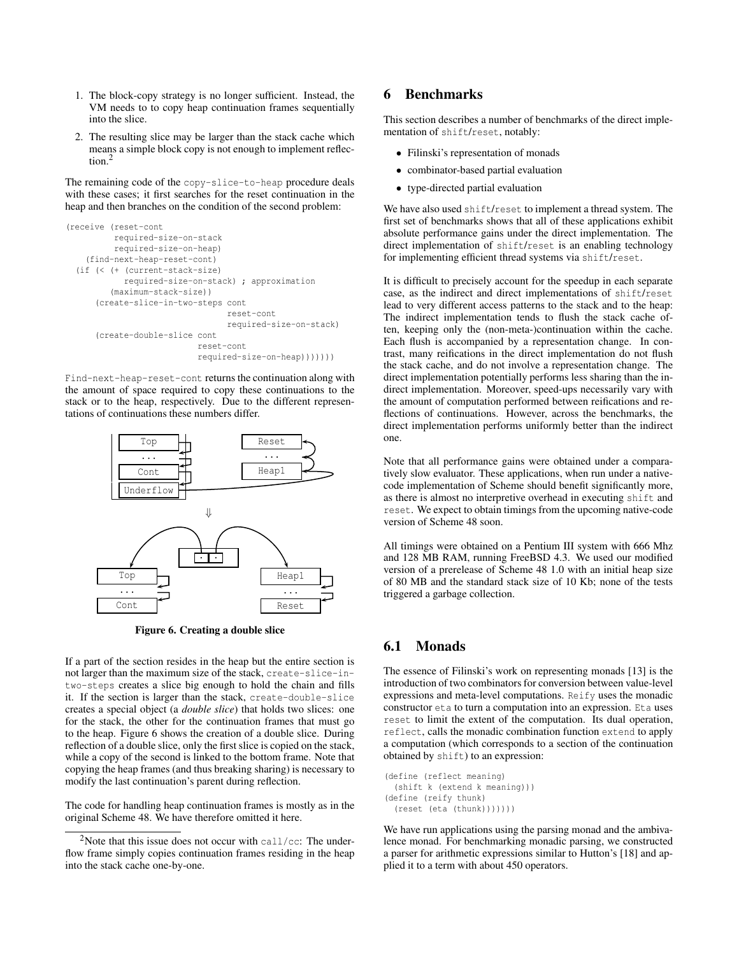- 1. The block-copy strategy is no longer sufficient. Instead, the VM needs to to copy heap continuation frames sequentially into the slice.
- 2. The resulting slice may be larger than the stack cache which means a simple block copy is not enough to implement reflection.<sup>2</sup>

The remaining code of the copy-slice-to-heap procedure deals with these cases; it first searches for the reset continuation in the heap and then branches on the condition of the second problem:

```
(receive (reset-cont
         required-size-on-stack
         required-size-on-heap)
    (find-next-heap-reset-cont)
  (if (< (+ (current-stack-size)
           required-size-on-stack) ; approximation
         (maximum-stack-size))
      (create-slice-in-two-steps cont
                                 reset-cont
                                 required-size-on-stack)
      (create-double-slice cont
                           reset-cont
                           required-size-on-heap)))))))
```
Find-next-heap-reset-cont returns the continuation along with the amount of space required to copy these continuations to the stack or to the heap, respectively. Due to the different representations of continuations these numbers differ.



**Figure 6. Creating a double slice**

If a part of the section resides in the heap but the entire section is not larger than the maximum size of the stack, create-slice-intwo-steps creates a slice big enough to hold the chain and fills it. If the section is larger than the stack, create-double-slice creates a special object (a *double slice*) that holds two slices: one for the stack, the other for the continuation frames that must go to the heap. Figure 6 shows the creation of a double slice. During reflection of a double slice, only the first slice is copied on the stack, while a copy of the second is linked to the bottom frame. Note that copying the heap frames (and thus breaking sharing) is necessary to modify the last continuation's parent during reflection.

The code for handling heap continuation frames is mostly as in the original Scheme 48. We have therefore omitted it here.

# **6 Benchmarks**

This section describes a number of benchmarks of the direct implementation of shift/reset, notably:

- Filinski's representation of monads
- combinator-based partial evaluation
- type-directed partial evaluation

We have also used shift/reset to implement a thread system. The first set of benchmarks shows that all of these applications exhibit absolute performance gains under the direct implementation. The direct implementation of shift/reset is an enabling technology for implementing efficient thread systems via shift/reset.

It is difficult to precisely account for the speedup in each separate case, as the indirect and direct implementations of shift/reset lead to very different access patterns to the stack and to the heap: The indirect implementation tends to flush the stack cache often, keeping only the (non-meta-)continuation within the cache. Each flush is accompanied by a representation change. In contrast, many reifications in the direct implementation do not flush the stack cache, and do not involve a representation change. The direct implementation potentially performs less sharing than the indirect implementation. Moreover, speed-ups necessarily vary with the amount of computation performed between reifications and reflections of continuations. However, across the benchmarks, the direct implementation performs uniformly better than the indirect one.

Note that all performance gains were obtained under a comparatively slow evaluator. These applications, when run under a nativecode implementation of Scheme should benefit significantly more, as there is almost no interpretive overhead in executing shift and reset. We expect to obtain timings from the upcoming native-code version of Scheme 48 soon.

All timings were obtained on a Pentium III system with 666 Mhz and 128 MB RAM, running FreeBSD 4.3. We used our modified version of a prerelease of Scheme 48 1.0 with an initial heap size of 80 MB and the standard stack size of 10 Kb; none of the tests triggered a garbage collection.

# **6.1 Monads**

The essence of Filinski's work on representing monads [13] is the introduction of two combinators for conversion between value-level expressions and meta-level computations. Reify uses the monadic constructor eta to turn a computation into an expression. Eta uses reset to limit the extent of the computation. Its dual operation, reflect, calls the monadic combination function extend to apply a computation (which corresponds to a section of the continuation obtained by shift) to an expression:

```
(define (reflect meaning)
 (shift k (extend k meaning)))
(define (reify thunk)
  (reset (eta (thunk)))))))
```
We have run applications using the parsing monad and the ambivalence monad. For benchmarking monadic parsing, we constructed a parser for arithmetic expressions similar to Hutton's [18] and applied it to a term with about 450 operators.

<sup>&</sup>lt;sup>2</sup>Note that this issue does not occur with call/cc: The underflow frame simply copies continuation frames residing in the heap into the stack cache one-by-one.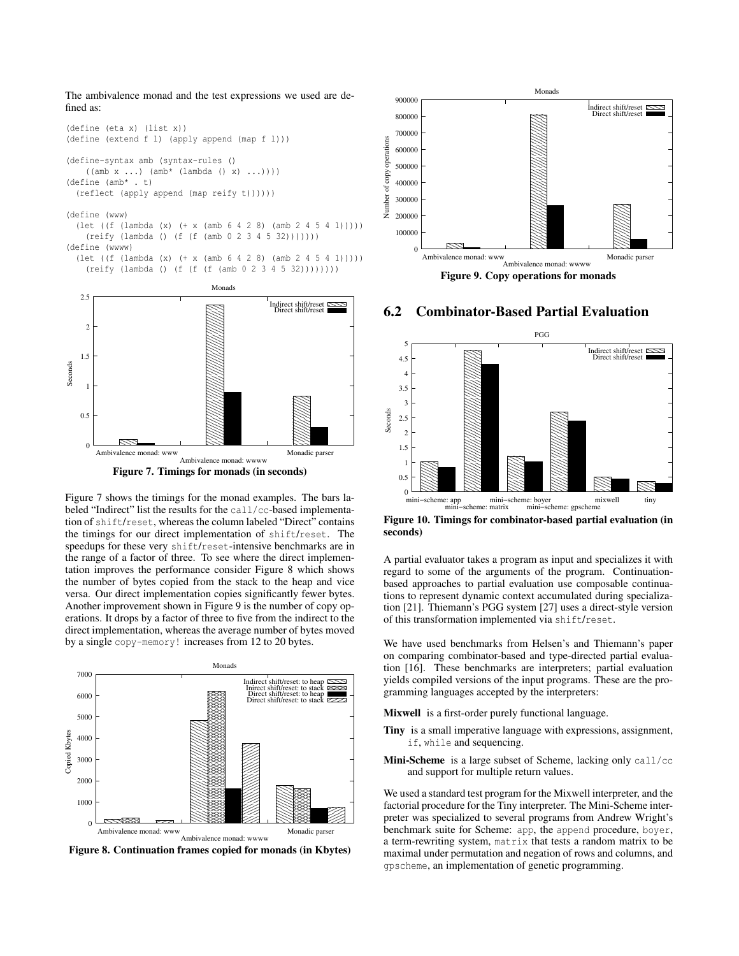The ambivalence monad and the test expressions we used are defined as:



**Figure 7. Timings for monads (in seconds)**

Ambivalence monad: wwww

Figure 7 shows the timings for the monad examples. The bars labeled "Indirect" list the results for the call/cc-based implementation of shift/reset, whereas the column labeled "Direct" contains the timings for our direct implementation of shift/reset. The speedups for these very shift/reset-intensive benchmarks are in the range of a factor of three. To see where the direct implementation improves the performance consider Figure 8 which shows the number of bytes copied from the stack to the heap and vice versa. Our direct implementation copies significantly fewer bytes. Another improvement shown in Figure 9 is the number of copy operations. It drops by a factor of three to five from the indirect to the direct implementation, whereas the average number of bytes moved by a single copy-memory! increases from 12 to 20 bytes.



**Figure 8. Continuation frames copied for monads (in Kbytes)**



**Figure 9. Copy operations for monads**

#### **6.2 Combinator-Based Partial Evaluation**



**Figure 10. Timings for combinator-based partial evaluation (in seconds)**

A partial evaluator takes a program as input and specializes it with regard to some of the arguments of the program. Continuationbased approaches to partial evaluation use composable continuations to represent dynamic context accumulated during specialization [21]. Thiemann's PGG system [27] uses a direct-style version of this transformation implemented via shift/reset.

 yields compiled versions of the input programs. These are the pro- $\frac{f}{f}$  gramming languages accepted by the interpreters: We have used benchmarks from Helsen's and Thiemann's paper on comparing combinator-based and type-directed partial evaluation [16]. These benchmarks are interpreters; partial evaluation

**Mixwell** is a first-order purely functional language.

- **Tiny** is a small imperative language with expressions, assignment, if, while and sequencing.
- **Mini-Scheme** is a large subset of Scheme, lacking only call/cc and support for multiple return values.

preter was specialized to several programs from Andrew Wright's **factorial procedure for the Tiny interpreter. The Mini-Scheme inter-**We used a standard test program for the Mixwell interpreter, and the benchmark suite for Scheme: app, the append procedure, boyer, a term-rewriting system, matrix that tests a random matrix to be maximal under permutation and negation of rows and columns, and gpscheme, an implementation of genetic programming.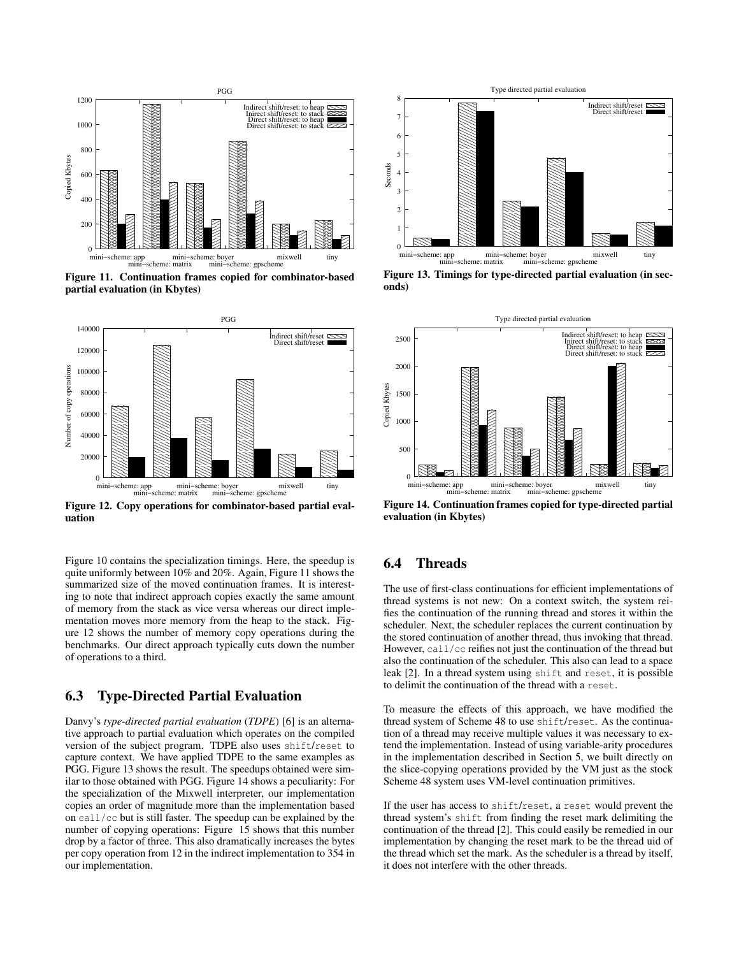

**Figure 11. Continuation frames copied for combinator-based partial evaluation (in Kbytes)**



**Figure 12. Copy operations for combinator-based partial evaluation**

Figure 10 contains the specialization timings. Here, the speedup is quite uniformly between 10% and 20%. Again, Figure 11 shows the summarized size of the moved continuation frames. It is interesting to note that indirect approach copies exactly the same amount of memory from the stack as vice versa whereas our direct implementation moves more memory from the heap to the stack. Figure 12 shows the number of memory copy operations during the benchmarks. Our direct approach typically cuts down the number of operations to a third.

# **6.3 Type-Directed Partial Evaluation**

Danvy's *type-directed partial evaluation* (*TDPE*) [6] is an alternative approach to partial evaluation which operates on the compiled version of the subject program. TDPE also uses shift/reset to capture context. We have applied TDPE to the same examples as PGG. Figure 13 shows the result. The speedups obtained were similar to those obtained with PGG. Figure 14 shows a peculiarity: For the specialization of the Mixwell interpreter, our implementation copies an order of magnitude more than the implementation based on call/cc but is still faster. The speedup can be explained by the number of copying operations: Figure 15 shows that this number drop by a factor of three. This also dramatically increases the bytes per copy operation from 12 in the indirect implementation to 354 in our implementation.



**Figure 13. Timings for type-directed partial evaluation (in seconds)**



**Figure 14. Continuation frames copied for type-directed partial evaluation (in Kbytes)**

# **6.4 Threads**

The use of first-class continuations for efficient implementations of thread systems is not new: On a context switch, the system reifies the continuation of the running thread and stores it within the scheduler. Next, the scheduler replaces the current continuation by the stored continuation of another thread, thus invoking that thread. However, call/cc reifies not just the continuation of the thread but also the continuation of the scheduler. This also can lead to a space leak [2]. In a thread system using shift and reset, it is possible to delimit the continuation of the thread with a reset.

To measure the effects of this approach, we have modified the thread system of Scheme 48 to use shift/reset. As the continuation of a thread may receive multiple values it was necessary to extend the implementation. Instead of using variable-arity procedures in the implementation described in Section 5, we built directly on the slice-copying operations provided by the VM just as the stock Scheme 48 system uses VM-level continuation primitives.

If the user has access to shift/reset, a reset would prevent the thread system's shift from finding the reset mark delimiting the continuation of the thread [2]. This could easily be remedied in our implementation by changing the reset mark to be the thread uid of the thread which set the mark. As the scheduler is a thread by itself, it does not interfere with the other threads.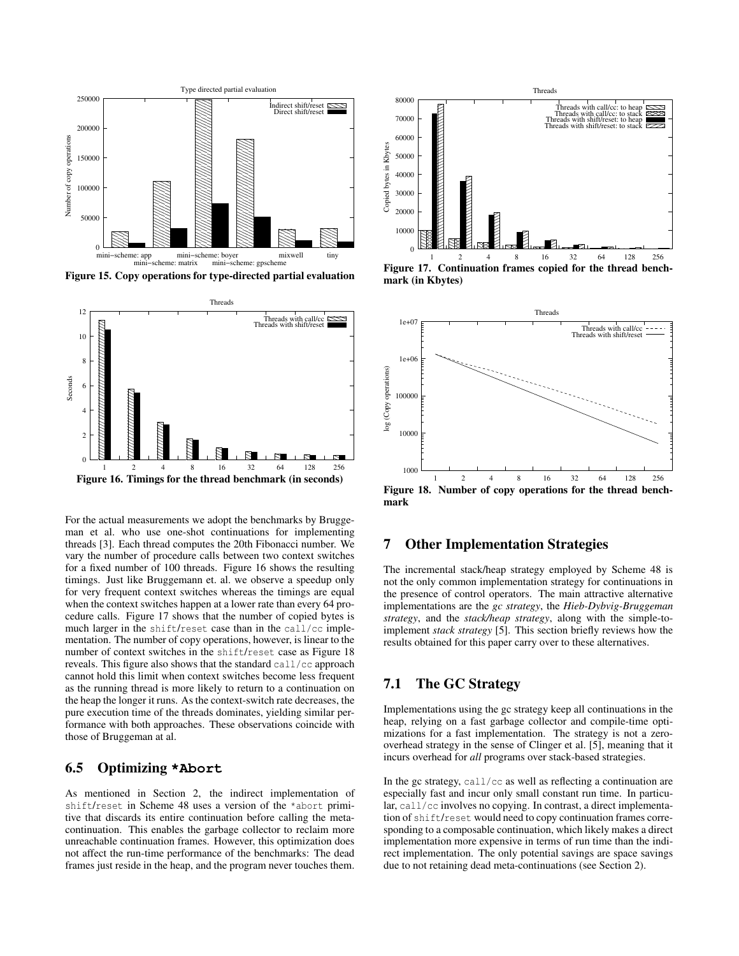

**Figure 15. Copy operations for type-directed partial evaluation**



For the actual measurements we adopt the benchmarks by Bruggeman et al. who use one-shot continuations for implementing threads [3]. Each thread computes the 20th Fibonacci number. We vary the number of procedure calls between two context switches for a fixed number of 100 threads. Figure 16 shows the resulting timings. Just like Bruggemann et. al. we observe a speedup only for very frequent context switches whereas the timings are equal when the context switches happen at a lower rate than every 64 procedure calls. Figure 17 shows that the number of copied bytes is much larger in the shift/reset case than in the call/cc implementation. The number of copy operations, however, is linear to the number of context switches in the shift/reset case as Figure 18 reveals. This figure also shows that the standard call/cc approach cannot hold this limit when context switches become less frequent as the running thread is more likely to return to a continuation on the heap the longer it runs. As the context-switch rate decreases, the pure execution time of the threads dominates, yielding similar performance with both approaches. These observations coincide with those of Bruggeman at al.

#### **6.5 Optimizing \*Abort**

As mentioned in Section 2, the indirect implementation of shift/reset in Scheme 48 uses a version of the \*abort primitive that discards its entire continuation before calling the metacontinuation. This enables the garbage collector to reclaim more unreachable continuation frames. However, this optimization does not affect the run-time performance of the benchmarks: The dead frames just reside in the heap, and the program never touches them.



**Figure 17. Continuation frames copied for the thread benchmark (in Kbytes)**



# **7 Other Implementation Strategies**

The incremental stack/heap strategy employed by Scheme 48 is not the only common implementation strategy for continuations in the presence of control operators. The main attractive alternative implementations are the *gc strategy*, the *Hieb-Dybvig-Bruggeman strategy*, and the *stack/heap strategy*, along with the simple-toimplement *stack strategy* [5]. This section briefly reviews how the results obtained for this paper carry over to these alternatives.

# **7.1 The GC Strategy**

Implementations using the gc strategy keep all continuations in the heap, relying on a fast garbage collector and compile-time optimizations for a fast implementation. The strategy is not a zerooverhead strategy in the sense of Clinger et al. [5], meaning that it incurs overhead for *all* programs over stack-based strategies.

In the gc strategy, call/cc as well as reflecting a continuation are especially fast and incur only small constant run time. In particular, call/cc involves no copying. In contrast, a direct implementation of shift/reset would need to copy continuation frames corresponding to a composable continuation, which likely makes a direct implementation more expensive in terms of run time than the indirect implementation. The only potential savings are space savings due to not retaining dead meta-continuations (see Section 2).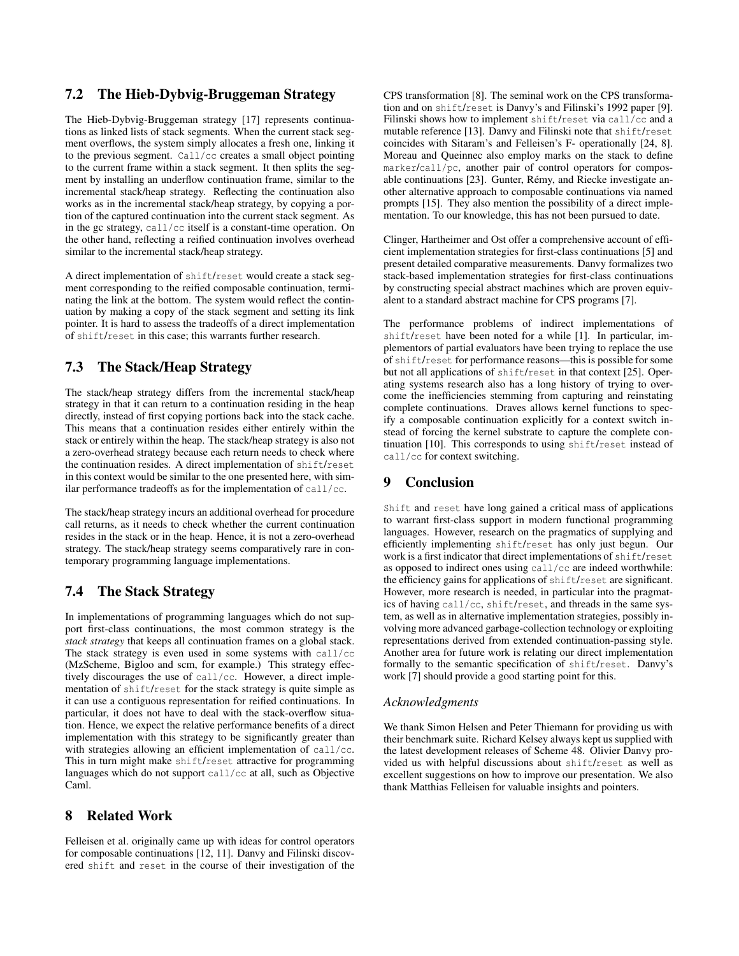### **7.2 The Hieb-Dybvig-Bruggeman Strategy**

The Hieb-Dybvig-Bruggeman strategy [17] represents continuations as linked lists of stack segments. When the current stack segment overflows, the system simply allocates a fresh one, linking it to the previous segment. Call/cc creates a small object pointing to the current frame within a stack segment. It then splits the segment by installing an underflow continuation frame, similar to the incremental stack/heap strategy. Reflecting the continuation also works as in the incremental stack/heap strategy, by copying a portion of the captured continuation into the current stack segment. As in the gc strategy, call/cc itself is a constant-time operation. On the other hand, reflecting a reified continuation involves overhead similar to the incremental stack/heap strategy.

A direct implementation of shift/reset would create a stack segment corresponding to the reified composable continuation, terminating the link at the bottom. The system would reflect the continuation by making a copy of the stack segment and setting its link pointer. It is hard to assess the tradeoffs of a direct implementation of shift/reset in this case; this warrants further research.

### **7.3 The Stack/Heap Strategy**

The stack/heap strategy differs from the incremental stack/heap strategy in that it can return to a continuation residing in the heap directly, instead of first copying portions back into the stack cache. This means that a continuation resides either entirely within the stack or entirely within the heap. The stack/heap strategy is also not a zero-overhead strategy because each return needs to check where the continuation resides. A direct implementation of shift/reset in this context would be similar to the one presented here, with similar performance tradeoffs as for the implementation of call/cc.

The stack/heap strategy incurs an additional overhead for procedure call returns, as it needs to check whether the current continuation resides in the stack or in the heap. Hence, it is not a zero-overhead strategy. The stack/heap strategy seems comparatively rare in contemporary programming language implementations.

# **7.4 The Stack Strategy**

In implementations of programming languages which do not support first-class continuations, the most common strategy is the *stack strategy* that keeps all continuation frames on a global stack. The stack strategy is even used in some systems with call/cc (MzScheme, Bigloo and scm, for example.) This strategy effectively discourages the use of call/cc. However, a direct implementation of shift/reset for the stack strategy is quite simple as it can use a contiguous representation for reified continuations. In particular, it does not have to deal with the stack-overflow situation. Hence, we expect the relative performance benefits of a direct implementation with this strategy to be significantly greater than with strategies allowing an efficient implementation of call/cc. This in turn might make shift/reset attractive for programming languages which do not support call/cc at all, such as Objective Caml.

# **8 Related Work**

Felleisen et al. originally came up with ideas for control operators for composable continuations [12, 11]. Danvy and Filinski discovered shift and reset in the course of their investigation of the

CPS transformation [8]. The seminal work on the CPS transformation and on shift/reset is Danvy's and Filinski's 1992 paper [9]. Filinski shows how to implement shift/reset via call/cc and a mutable reference [13]. Danvy and Filinski note that shift/reset coincides with Sitaram's and Felleisen's F- operationally [24, 8]. Moreau and Queinnec also employ marks on the stack to define marker/call/pc, another pair of control operators for composable continuations [23]. Gunter, Rémy, and Riecke investigate another alternative approach to composable continuations via named prompts [15]. They also mention the possibility of a direct implementation. To our knowledge, this has not been pursued to date.

Clinger, Hartheimer and Ost offer a comprehensive account of efficient implementation strategies for first-class continuations [5] and present detailed comparative measurements. Danvy formalizes two stack-based implementation strategies for first-class continuations by constructing special abstract machines which are proven equivalent to a standard abstract machine for CPS programs [7].

The performance problems of indirect implementations of shift/reset have been noted for a while [1]. In particular, implementors of partial evaluators have been trying to replace the use of shift/reset for performance reasons—this is possible for some but not all applications of shift/reset in that context [25]. Operating systems research also has a long history of trying to overcome the inefficiencies stemming from capturing and reinstating complete continuations. Draves allows kernel functions to specify a composable continuation explicitly for a context switch instead of forcing the kernel substrate to capture the complete continuation [10]. This corresponds to using shift/reset instead of call/cc for context switching.

## **9 Conclusion**

Shift and reset have long gained a critical mass of applications to warrant first-class support in modern functional programming languages. However, research on the pragmatics of supplying and efficiently implementing shift/reset has only just begun. Our work is a first indicator that direct implementations of shift/reset as opposed to indirect ones using call/cc are indeed worthwhile: the efficiency gains for applications of shift/reset are significant. However, more research is needed, in particular into the pragmatics of having call/cc, shift/reset, and threads in the same system, as well as in alternative implementation strategies, possibly involving more advanced garbage-collection technology or exploiting representations derived from extended continuation-passing style. Another area for future work is relating our direct implementation formally to the semantic specification of shift/reset. Danvy's work [7] should provide a good starting point for this.

#### *Acknowledgments*

We thank Simon Helsen and Peter Thiemann for providing us with their benchmark suite. Richard Kelsey always kept us supplied with the latest development releases of Scheme 48. Olivier Danvy provided us with helpful discussions about shift/reset as well as excellent suggestions on how to improve our presentation. We also thank Matthias Felleisen for valuable insights and pointers.